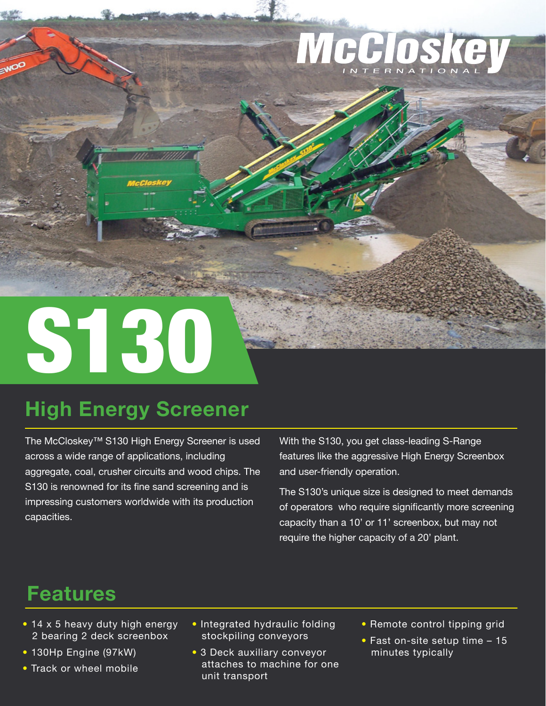

# S130

## **High Energy Screener**

The McCloskey™ S130 High Energy Screener is used across a wide range of applications, including aggregate, coal, crusher circuits and wood chips. The S130 is renowned for its fine sand screening and is impressing customers worldwide with its production capacities.

With the S130, you get class-leading S-Range features like the aggressive High Energy Screenbox and user-friendly operation.

The S130's unique size is designed to meet demands of operators who require significantly more screening capacity than a 10' or 11' screenbox, but may not require the higher capacity of a 20' plant.

## **Features**

- 14 x 5 heavy duty high energy 2 bearing 2 deck screenbox
- 130Hp Engine (97kW)
- Track or wheel mobile
- Integrated hydraulic folding stockpiling conveyors
- 3 Deck auxiliary conveyor attaches to machine for one unit transport
- Remote control tipping grid
- Fast on-site setup time 15 minutes typically